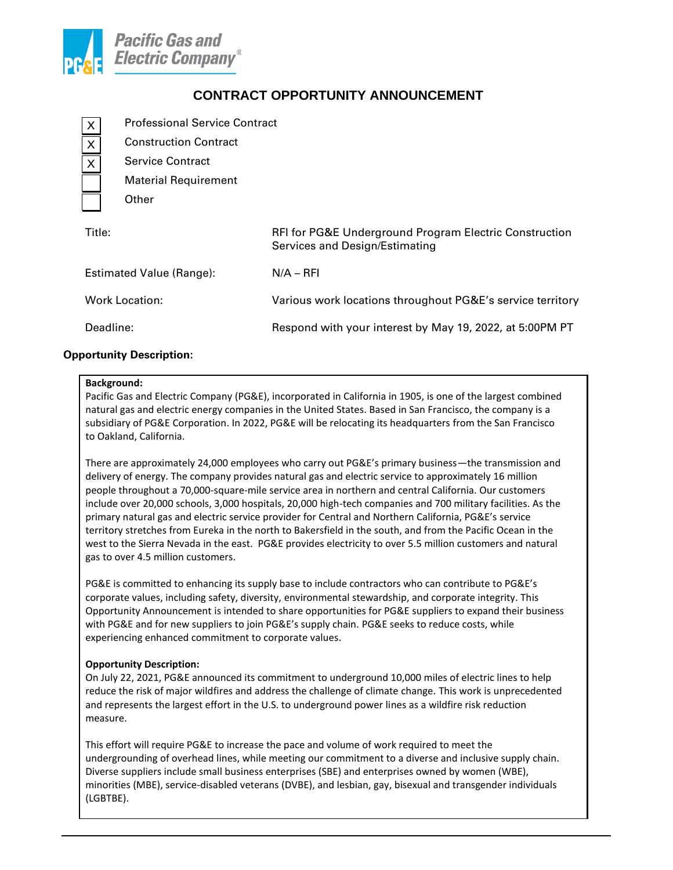

# **CONTRACT OPPORTUNITY ANNOUNCEMENT**

| X                         | <b>Professional Service Contract</b> |                                                                                          |
|---------------------------|--------------------------------------|------------------------------------------------------------------------------------------|
| $\overline{x}$            | <b>Construction Contract</b>         |                                                                                          |
| $\overline{\overline{x}}$ | Service Contract                     |                                                                                          |
|                           | <b>Material Requirement</b>          |                                                                                          |
|                           | Other                                |                                                                                          |
| Title:                    |                                      | RFI for PG&E Underground Program Electric Construction<br>Services and Design/Estimating |
| Estimated Value (Range):  |                                      | $N/A - RFI$                                                                              |
| <b>Work Location:</b>     |                                      | Various work locations throughout PG&E's service territory                               |
| Deadline:                 |                                      | Respond with your interest by May 19, 2022, at 5:00PM PT                                 |

# **Opportunity Description:**

#### **Background:**

Pacific Gas and Electric Company (PG&E), incorporated in California in 1905, is one of the largest combined natural gas and electric energy companies in the United States. Based in San Francisco, the company is a subsidiary of PG&E Corporation. In 2022, PG&E will be relocating its headquarters from the San Francisco to Oakland, California.

There are approximately 24,000 employees who carry out PG&E's primary business—the transmission and delivery of energy. The company provides natural gas and electric service to approximately 16 million people throughout a 70,000-square-mile service area in northern and central California. Our customers include over 20,000 schools, 3,000 hospitals, 20,000 high-tech companies and 700 military facilities. As the primary natural gas and electric service provider for Central and Northern California, PG&E's service territory stretches from Eureka in the north to Bakersfield in the south, and from the Pacific Ocean in the west to the Sierra Nevada in the east. PG&E provides electricity to over 5.5 million customers and natural gas to over 4.5 million customers.

PG&E is committed to enhancing its supply base to include contractors who can contribute to PG&E's corporate values, including safety, diversity, environmental stewardship, and corporate integrity. This Opportunity Announcement is intended to share opportunities for PG&E suppliers to expand their business with PG&E and for new suppliers to join PG&E's supply chain. PG&E seeks to reduce costs, while experiencing enhanced commitment to corporate values.

# **Opportunity Description:**

On July 22, 2021, PG&E announced its commitment to underground 10,000 miles of electric lines to help reduce the risk of major wildfires and address the challenge of climate change. This work is unprecedented and represents the largest effort in the U.S. to underground power lines as a wildfire risk reduction measure.

This effort will require PG&E to increase the pace and volume of work required to meet the undergrounding of overhead lines, while meeting our commitment to a diverse and inclusive supply chain. Diverse suppliers include small business enterprises (SBE) and enterprises owned by women (WBE), minorities (MBE), service-disabled veterans (DVBE), and lesbian, gay, bisexual and transgender individuals (LGBTBE).